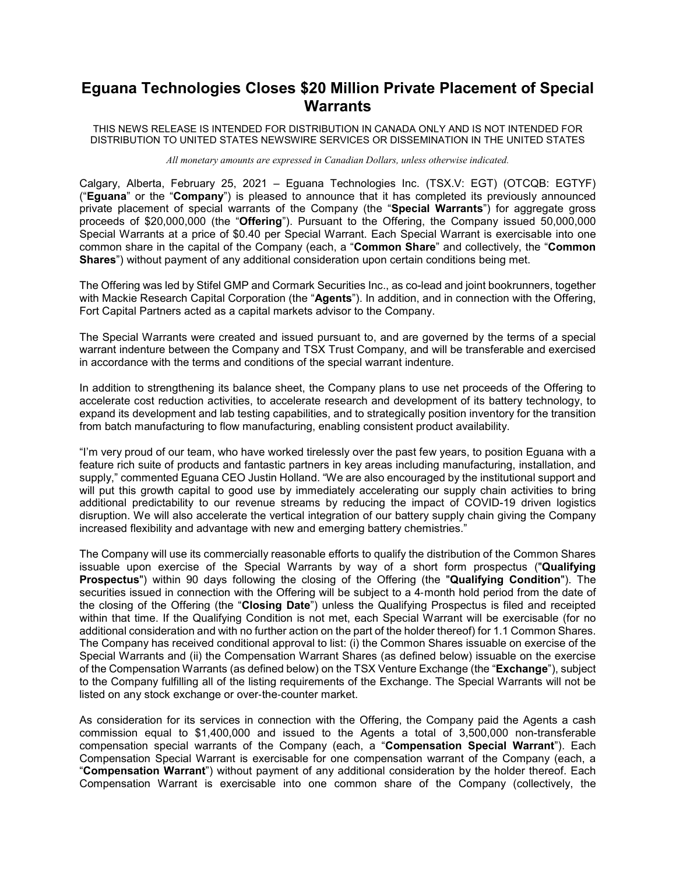## **Eguana Technologies Closes \$20 Million Private Placement of Special Warrants**

THIS NEWS RELEASE IS INTENDED FOR DISTRIBUTION IN CANADA ONLY AND IS NOT INTENDED FOR DISTRIBUTION TO UNITED STATES NEWSWIRE SERVICES OR DISSEMINATION IN THE UNITED STATES

*All monetary amounts are expressed in Canadian Dollars, unless otherwise indicated.*

Calgary, Alberta, February 25, 2021 – Eguana Technologies Inc. (TSX.V: EGT) (OTCQB: EGTYF) ("**Eguana**" or the "**Company**") is pleased to announce that it has completed its previously announced private placement of special warrants of the Company (the "**Special Warrants**") for aggregate gross proceeds of \$20,000,000 (the "**Offering**"). Pursuant to the Offering, the Company issued 50,000,000 Special Warrants at a price of \$0.40 per Special Warrant. Each Special Warrant is exercisable into one common share in the capital of the Company (each, a "**Common Share**" and collectively, the "**Common Shares**") without payment of any additional consideration upon certain conditions being met.

The Offering was led by Stifel GMP and Cormark Securities Inc., as co-lead and joint bookrunners, together with Mackie Research Capital Corporation (the "**Agents**"). In addition, and in connection with the Offering, Fort Capital Partners acted as a capital markets advisor to the Company.

The Special Warrants were created and issued pursuant to, and are governed by the terms of a special warrant indenture between the Company and TSX Trust Company, and will be transferable and exercised in accordance with the terms and conditions of the special warrant indenture.

In addition to strengthening its balance sheet, the Company plans to use net proceeds of the Offering to accelerate cost reduction activities, to accelerate research and development of its battery technology, to expand its development and lab testing capabilities, and to strategically position inventory for the transition from batch manufacturing to flow manufacturing, enabling consistent product availability.

"I'm very proud of our team, who have worked tirelessly over the past few years, to position Eguana with a feature rich suite of products and fantastic partners in key areas including manufacturing, installation, and supply," commented Eguana CEO Justin Holland. "We are also encouraged by the institutional support and will put this growth capital to good use by immediately accelerating our supply chain activities to bring additional predictability to our revenue streams by reducing the impact of COVID-19 driven logistics disruption. We will also accelerate the vertical integration of our battery supply chain giving the Company increased flexibility and advantage with new and emerging battery chemistries."

The Company will use its commercially reasonable efforts to qualify the distribution of the Common Shares issuable upon exercise of the Special Warrants by way of a short form prospectus ("**Qualifying Prospectus**") within 90 days following the closing of the Offering (the "**Qualifying Condition**"). The securities issued in connection with the Offering will be subject to a 4‐month hold period from the date of the closing of the Offering (the "**Closing Date**") unless the Qualifying Prospectus is filed and receipted within that time. If the Qualifying Condition is not met, each Special Warrant will be exercisable (for no additional consideration and with no further action on the part of the holder thereof) for 1.1 Common Shares. The Company has received conditional approval to list: (i) the Common Shares issuable on exercise of the Special Warrants and (ii) the Compensation Warrant Shares (as defined below) issuable on the exercise of the Compensation Warrants (as defined below) on the TSX Venture Exchange (the "**Exchange**"), subject to the Company fulfilling all of the listing requirements of the Exchange. The Special Warrants will not be listed on any stock exchange or over‐the‐counter market.

As consideration for its services in connection with the Offering, the Company paid the Agents a cash commission equal to \$1,400,000 and issued to the Agents a total of 3,500,000 non-transferable compensation special warrants of the Company (each, a "**Compensation Special Warrant**"). Each Compensation Special Warrant is exercisable for one compensation warrant of the Company (each, a "**Compensation Warrant**") without payment of any additional consideration by the holder thereof. Each Compensation Warrant is exercisable into one common share of the Company (collectively, the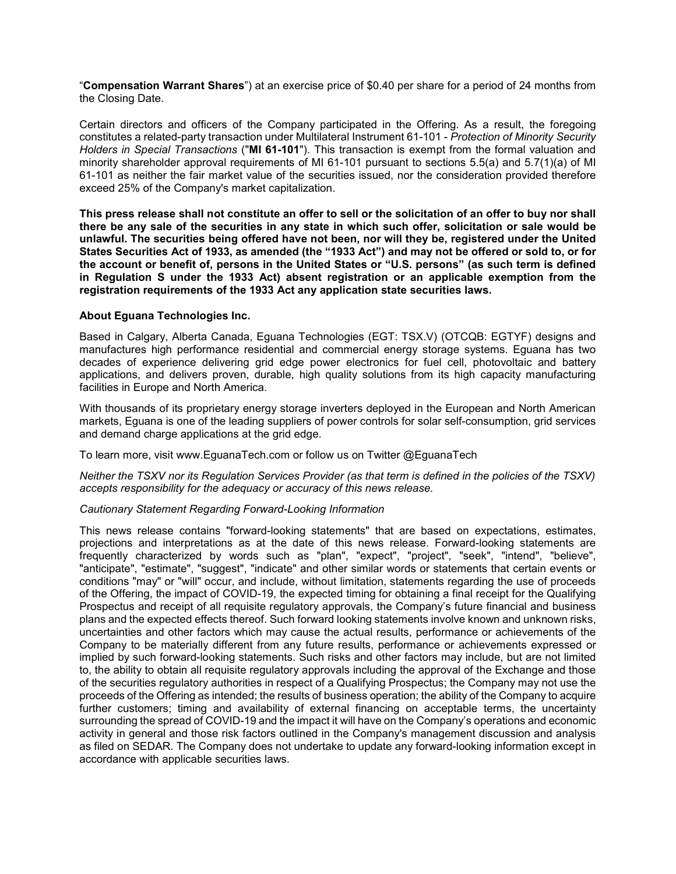"**Compensation Warrant Shares**") at an exercise price of \$0.40 per share for a period of 24 months from the Closing Date.

Certain directors and officers of the Company participated in the Offering. As a result, the foregoing constitutes a related-party transaction under Multilateral Instrument 61-101 - *Protection of Minority Security Holders in Special Transactions* ("**MI 61-101**"). This transaction is exempt from the formal valuation and minority shareholder approval requirements of MI 61-101 pursuant to sections 5.5(a) and 5.7(1)(a) of MI 61-101 as neither the fair market value of the securities issued, nor the consideration provided therefore exceed 25% of the Company's market capitalization.

**This press release shall not constitute an offer to sell or the solicitation of an offer to buy nor shall there be any sale of the securities in any state in which such offer, solicitation or sale would be unlawful. The securities being offered have not been, nor will they be, registered under the United States Securities Act of 1933, as amended (the "1933 Act") and may not be offered or sold to, or for the account or benefit of, persons in the United States or "U.S. persons" (as such term is defined in Regulation S under the 1933 Act) absent registration or an applicable exemption from the registration requirements of the 1933 Act any application state securities laws.**

## **About Eguana Technologies Inc.**

Based in Calgary, Alberta Canada, Eguana Technologies (EGT: TSX.V) (OTCQB: EGTYF) designs and manufactures high performance residential and commercial energy storage systems. Eguana has two decades of experience delivering grid edge power electronics for fuel cell, photovoltaic and battery applications, and delivers proven, durable, high quality solutions from its high capacity manufacturing facilities in Europe and North America.

With thousands of its proprietary energy storage inverters deployed in the European and North American markets, Eguana is one of the leading suppliers of power controls for solar self-consumption, grid services and demand charge applications at the grid edge.

To learn more, visit www.EguanaTech.com or follow us on Twitter @EguanaTech

*Neither the TSXV nor its Regulation Services Provider (as that term is defined in the policies of the TSXV) accepts responsibility for the adequacy or accuracy of this news release.* 

## *Cautionary Statement Regarding Forward-Looking Information*

This news release contains "forward-looking statements" that are based on expectations, estimates, projections and interpretations as at the date of this news release. Forward-looking statements are frequently characterized by words such as "plan", "expect", "project", "seek", "intend", "believe", "anticipate", "estimate", "suggest", "indicate" and other similar words or statements that certain events or conditions "may" or "will" occur, and include, without limitation, statements regarding the use of proceeds of the Offering, the impact of COVID-19, the expected timing for obtaining a final receipt for the Qualifying Prospectus and receipt of all requisite regulatory approvals, the Company's future financial and business plans and the expected effects thereof. Such forward looking statements involve known and unknown risks, uncertainties and other factors which may cause the actual results, performance or achievements of the Company to be materially different from any future results, performance or achievements expressed or implied by such forward-looking statements. Such risks and other factors may include, but are not limited to, the ability to obtain all requisite regulatory approvals including the approval of the Exchange and those of the securities regulatory authorities in respect of a Qualifying Prospectus; the Company may not use the proceeds of the Offering as intended; the results of business operation; the ability of the Company to acquire further customers; timing and availability of external financing on acceptable terms, the uncertainty surrounding the spread of COVID-19 and the impact it will have on the Company's operations and economic activity in general and those risk factors outlined in the Company's management discussion and analysis as filed on SEDAR. The Company does not undertake to update any forward-looking information except in accordance with applicable securities laws.